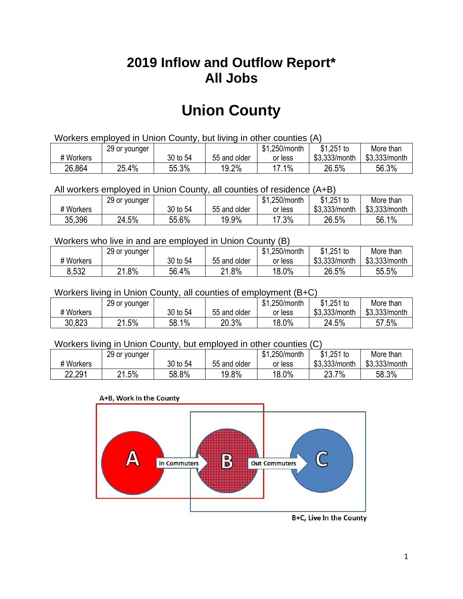## **2019 Inflow and Outflow Report\* All Jobs**

# **Union County**

| Workers employed in Union County, but living in other counties (A) |                                                            |          |              |         |               |               |  |  |  |
|--------------------------------------------------------------------|------------------------------------------------------------|----------|--------------|---------|---------------|---------------|--|--|--|
|                                                                    | $$1,251$ to<br>\$1,250/month<br>29 or younger<br>More than |          |              |         |               |               |  |  |  |
| # Workers                                                          |                                                            | 30 to 54 | 55 and older | or less | \$3,333/month | \$3,333/month |  |  |  |
| 26,864                                                             | 25.4%                                                      | 55.3%    | 19.2%        | 17.1%   | 26.5%         | 56.3%         |  |  |  |

All workers employed in Union County, all counties of residence (A+B)

|           | 29 or younger |          |              | \$1,250/month | $$1,251$ to   | More than     |
|-----------|---------------|----------|--------------|---------------|---------------|---------------|
| # Workers |               | 30 to 54 | 55 and older | or less       | \$3,333/month | \$3,333/month |
| 35,396    | 24.5%         | 55.6%    | 19.9%        | 17.3%         | 26.5%         | 56.1%         |

#### Workers who live in and are employed in Union County (B)

|           | 29 or younger    |          |              | \$1,250/month | $$1,251$ to   | More than     |
|-----------|------------------|----------|--------------|---------------|---------------|---------------|
| # Workers |                  | 30 to 54 | 55 and older | or less       | \$3,333/month | \$3,333/month |
| 8,532     | .8%<br><b>04</b> | 56.4%    | 21.8%<br>ດ 4 | 18.0%         | 26.5%         | 55.5%         |

#### Workers living in Union County, all counties of employment (B+C)

|           | 29 or younger |          |              | \$1,250/month | \$1,251 to    | More than     |
|-----------|---------------|----------|--------------|---------------|---------------|---------------|
| # Workers |               | 30 to 54 | 55 and older | or less       | \$3,333/month | \$3,333/month |
| 30,823    | 21.5%         | 58.1%    | 20.3%        | 18.0%         | 24.5%         | 57.5%         |

#### Workers living in Union County, but employed in other counties (C)

|           | 29 or younger |          |              | \$1,250/month | $$1,251$ to      | More than     |
|-----------|---------------|----------|--------------|---------------|------------------|---------------|
| # Workers |               | 30 to 54 | 55 and older | or less       | \$3,333/month    | \$3,333/month |
| 22,291    | .5%<br>ດ 4    | 58.8%    | 19.8%        | 18.0%         | າາ<br>7%<br>20.I | 58.3%         |





B+C, Live In the County